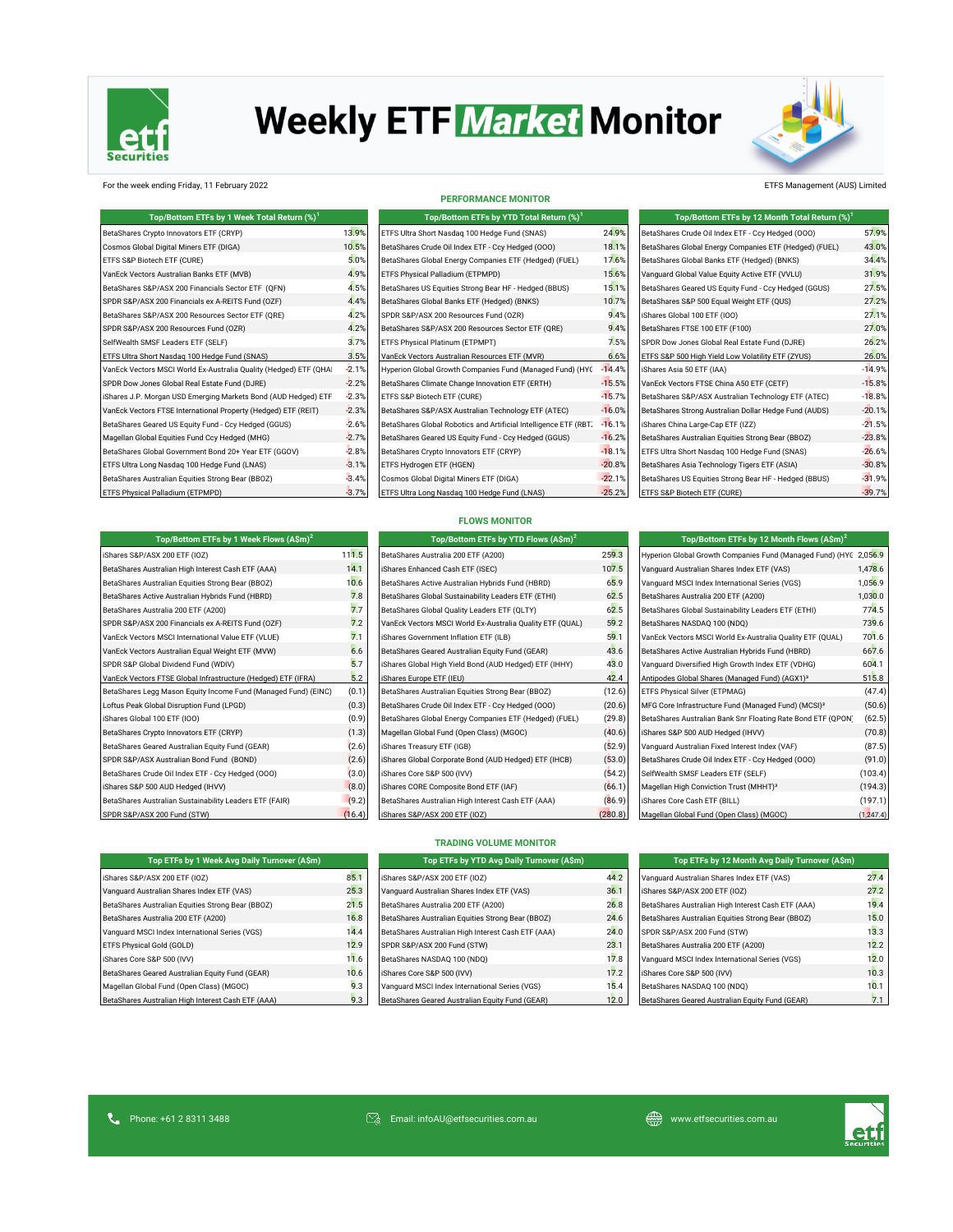

# **Weekly ETF Market Monitor**



### For the week ending Friday, 11 February 2022 ETFS Management (AUS) Limited

| Top/Bottom ETFs by 1 Week Total Return (%) <sup>1</sup>           |         | Top/Bottom ETFs by YTD Total Return (%) <sup>1</sup>             |          | Top/Bottom ETFs by 12 Month Total Return (%) <sup>1</sup> |          |
|-------------------------------------------------------------------|---------|------------------------------------------------------------------|----------|-----------------------------------------------------------|----------|
| BetaShares Crypto Innovators ETF (CRYP)                           | 13.9%   | ETFS Ultra Short Nasdag 100 Hedge Fund (SNAS)                    | 24.9%    | BetaShares Crude Oil Index ETF - Ccy Hedged (OOO)         | 57.9%    |
| Cosmos Global Digital Miners ETF (DIGA)                           | 10.5%   | BetaShares Crude Oil Index ETF - Ccy Hedged (000)                | 18.1%    | BetaShares Global Energy Companies ETF (Hedged) (FUEL)    | 43.0%    |
| ETFS S&P Biotech ETF (CURE)                                       | 5.0%    | BetaShares Global Energy Companies ETF (Hedged) (FUEL)           | 17.6%    | BetaShares Global Banks ETF (Hedged) (BNKS)               | 34.4%    |
| VanEck Vectors Australian Banks ETF (MVB)                         | 4.9%    | ETFS Physical Palladium (ETPMPD)                                 | 15.6%    | Vanguard Global Value Equity Active ETF (VVLU)            | 31.9%    |
| BetaShares S&P/ASX 200 Financials Sector ETF (OFN)                | 4.5%    | BetaShares US Equities Strong Bear HF - Hedged (BBUS)            | 15.1%    | BetaShares Geared US Equity Fund - Ccy Hedged (GGUS)      | 27.5%    |
| SPDR S&P/ASX 200 Financials ex A-REITS Fund (OZF)                 | 4.4%    | BetaShares Global Banks ETF (Hedged) (BNKS)                      | 10.7%    | BetaShares S&P 500 Equal Weight ETF (QUS)                 | 27.2%    |
| BetaShares S&P/ASX 200 Resources Sector ETF (QRE)                 | 4.2%    | SPDR S&P/ASX 200 Resources Fund (OZR)                            | 9.4%     | iShares Global 100 ETF (IOO)                              | 27.1%    |
| SPDR S&P/ASX 200 Resources Fund (OZR)                             | 4.2%    | BetaShares S&P/ASX 200 Resources Sector ETF (QRE)                | 9.4%     | BetaShares FTSE 100 ETF (F100)                            | 27.0%    |
| SelfWealth SMSF Leaders ETF (SELF)                                | 3.7%    | ETFS Physical Platinum (ETPMPT)                                  | 7.5%     | SPDR Dow Jones Global Real Estate Fund (DJRE)             | 26.2%    |
| ETFS Ultra Short Nasdaq 100 Hedge Fund (SNAS)                     | 3.5%    | VanEck Vectors Australian Resources ETF (MVR)                    | 6.6%     | ETFS S&P 500 High Yield Low Volatility ETF (ZYUS)         | 26.0%    |
| VanEck Vectors MSCI World Ex-Australia Quality (Hedged) ETF (QHAI | $-2.1%$ | Hyperion Global Growth Companies Fund (Managed Fund) (HYC        | $-14.4%$ | iShares Asia 50 ETF (IAA)                                 | $-14.9%$ |
| SPDR Dow Jones Global Real Estate Fund (DJRE)                     | $-2.2%$ | BetaShares Climate Change Innovation ETF (ERTH)                  | $-15.5%$ | VanEck Vectors FTSE China A50 ETF (CETF)                  | $-15.8%$ |
| iShares J.P. Morgan USD Emerging Markets Bond (AUD Hedged) ETF    | $-2.3%$ | ETFS S&P Biotech ETF (CURE)                                      | $-15.7%$ | BetaShares S&P/ASX Australian Technology ETF (ATEC)       | $-18.8%$ |
| VanEck Vectors FTSE International Property (Hedged) ETF (REIT)    | $-2.3%$ | BetaShares S&P/ASX Australian Technology ETF (ATEC)              | $-16.0%$ | BetaShares Strong Australian Dollar Hedge Fund (AUDS)     | $-20.1%$ |
| BetaShares Geared US Equity Fund - Ccy Hedged (GGUS)              | $-2.6%$ | BetaShares Global Robotics and Artificial Intelligence ETF (RBT. | $-16.1%$ | iShares China Large-Cap ETF (IZZ)                         | $-21.5%$ |
| Magellan Global Equities Fund Ccy Hedged (MHG)                    | $-2.7%$ | BetaShares Geared US Equity Fund - Ccy Hedged (GGUS)             | $-16.2%$ | BetaShares Australian Equities Strong Bear (BBOZ)         | $-23.8%$ |
| BetaShares Global Government Bond 20+ Year ETF (GGOV)             | $-2.8%$ | BetaShares Crypto Innovators ETF (CRYP)                          | $-18.1%$ | ETFS Ultra Short Nasdag 100 Hedge Fund (SNAS)             | $-26.6%$ |
| ETFS Ultra Long Nasdaq 100 Hedge Fund (LNAS)                      | $-3.1%$ | ETFS Hydrogen ETF (HGEN)                                         | $-20.8%$ | BetaShares Asia Technology Tigers ETF (ASIA)              | $-30.8%$ |
| BetaShares Australian Equities Strong Bear (BBOZ)                 | $-3.4%$ | Cosmos Global Digital Miners ETF (DIGA)                          | $-22.1%$ | BetaShares US Equities Strong Bear HF - Hedged (BBUS)     | $-31.9%$ |
| ETFS Physical Palladium (ETPMPD)                                  | $-3.7%$ | ETFS Ultra Long Nasdaq 100 Hedge Fund (LNAS)                     | $-25.2%$ | ETFS S&P Biotech ETF (CURE)                               | $-39.7%$ |

| <b>PERFORMANCE MONITOR</b>                                       |          |
|------------------------------------------------------------------|----------|
| Top/Bottom ETFs by YTD Total Return (%) <sup>1</sup>             |          |
| ETFS Ultra Short Nasdag 100 Hedge Fund (SNAS)                    | 24.9%    |
| BetaShares Crude Oil Index ETF - Ccy Hedged (000)                | 18.19    |
| BetaShares Global Energy Companies ETF (Hedged) (FUEL)           | 17.6%    |
| ETFS Physical Palladium (ETPMPD)                                 | 15.69    |
| BetaShares US Equities Strong Bear HF - Hedged (BBUS)            | 15.19    |
| BetaShares Global Banks ETF (Hedged) (BNKS)                      | 10.7%    |
| SPDR S&P/ASX 200 Resources Fund (OZR)                            | 9.49     |
| BetaShares S&P/ASX 200 Resources Sector ETF (ORE)                | 9.4%     |
| ETFS Physical Platinum (ETPMPT)                                  | 7.5%     |
| VanEck Vectors Australian Resources ETF (MVR)                    | 6.6%     |
| Hyperion Global Growth Companies Fund (Managed Fund) (HYC        | $-14.49$ |
| BetaShares Climate Change Innovation ETF (ERTH)                  | $-15.5%$ |
| ETFS S&P Biotech ETF (CURE)                                      | $-15.7%$ |
| BetaShares S&P/ASX Australian Technology ETF (ATEC)              | $-16.0$  |
| BetaShares Global Robotics and Artificial Intelligence ETF (RBT. | $-16.19$ |
| BetaShares Geared US Equity Fund - Ccy Hedged (GGUS)             | $-16.29$ |
| BetaShares Crypto Innovators ETF (CRYP)                          | $-18.19$ |
| ETFS Hydrogen ETF (HGEN)                                         | $-20.8$  |
| Cosmos Global Digital Miners ETF (DIGA)                          | $-22.1%$ |
| ETFS Ultra Long Nasdag 100 Hedge Fund (LNAS)                     | $-25.2%$ |

| Top/Bottom ETFs by 12 Month Total Return (%) <sup>1</sup> |          |
|-----------------------------------------------------------|----------|
| BetaShares Crude Oil Index ETF - Ccy Hedged (000)         | 57.9%    |
| BetaShares Global Energy Companies ETF (Hedged) (FUEL)    | 43.0%    |
| BetaShares Global Banks ETF (Hedged) (BNKS)               | 34.4%    |
| Vanquard Global Value Equity Active ETF (VVLU)            | 31.9%    |
| BetaShares Geared US Equity Fund - Ccy Hedged (GGUS)      | 27.5%    |
| BetaShares S&P 500 Equal Weight ETF (QUS)                 | 27.2%    |
| iShares Global 100 ETF (IOO)                              | 27.1%    |
| BetaShares FTSE 100 ETF (F100)                            | 27.0%    |
| SPDR Dow Jones Global Real Estate Fund (DJRE)             | 26.2%    |
| ETFS S&P 500 High Yield Low Volatility ETF (ZYUS)         | 26.0%    |
| iShares Asia 50 ETF (IAA)                                 | $-14.9%$ |
| VanEck Vectors FTSE China A50 ETF (CETF)                  | $-15.8%$ |
| BetaShares S&P/ASX Australian Technology ETF (ATEC)       | $-18.8%$ |
| BetaShares Strong Australian Dollar Hedge Fund (AUDS)     | $-20.1%$ |
| iShares China Large-Cap ETF (IZZ)                         | $-21.5%$ |
| BetaShares Australian Equities Strong Bear (BBOZ)         | $-23.8%$ |
| ETFS Ultra Short Nasdag 100 Hedge Fund (SNAS)             | $-26.6%$ |
| BetaShares Asia Technology Tigers ETF (ASIA)              | $-30.8%$ |
| BetaShares US Equities Strong Bear HF - Hedged (BBUS)     | $-31.9%$ |
| ETFS S&P Biotech ETF (CURE)                               | $-39.7%$ |

| Top/Bottom ETFs by 1 Week Flows (A\$m) <sup>2</sup>            | Top/Bottom ETFs by YTD Flows (A\$m) <sup>2</sup> |                                                           | Top/Bottom ETFs by 12 Month Flows $(A\$ m)^2 |                                                                   |         |
|----------------------------------------------------------------|--------------------------------------------------|-----------------------------------------------------------|----------------------------------------------|-------------------------------------------------------------------|---------|
| iShares S&P/ASX 200 ETF (IOZ)                                  | 111.5                                            | BetaShares Australia 200 ETF (A200)                       | 259.3                                        | Hyperion Global Growth Companies Fund (Managed Fund) (HYC 2,056.9 |         |
| BetaShares Australian High Interest Cash ETF (AAA)             | 14.1                                             | iShares Enhanced Cash ETF (ISEC)                          | 107.5                                        | Vanguard Australian Shares Index ETF (VAS)                        | 1,478.6 |
| BetaShares Australian Equities Strong Bear (BBOZ)              | 10.6                                             | BetaShares Active Australian Hybrids Fund (HBRD)          | 65.9                                         | Vanguard MSCI Index International Series (VGS)                    | 1,056.9 |
| BetaShares Active Australian Hybrids Fund (HBRD)               | 7.8                                              | BetaShares Global Sustainability Leaders ETF (ETHI)       | 62.5                                         | BetaShares Australia 200 ETF (A200)                               | 1,030.0 |
| BetaShares Australia 200 ETF (A200)                            | 7.7                                              | BetaShares Global Quality Leaders ETF (QLTY)              | 62.5                                         | BetaShares Global Sustainability Leaders ETF (ETHI)               | 774.5   |
| SPDR S&P/ASX 200 Financials ex A-REITS Fund (OZF)              | 7.2                                              | VanEck Vectors MSCI World Ex-Australia Quality ETF (QUAL) | 59.2                                         | BetaShares NASDAQ 100 (NDQ)                                       | 739.6   |
| VanEck Vectors MSCI International Value ETF (VLUE)             | 7.1                                              | iShares Government Inflation ETF (ILB)                    | 59.1                                         | VanEck Vectors MSCI World Ex-Australia Quality ETF (QUAL)         | 701.6   |
| VanEck Vectors Australian Equal Weight ETF (MVW)               | 6.6                                              | BetaShares Geared Australian Equity Fund (GEAR)           | 43.6                                         | BetaShares Active Australian Hybrids Fund (HBRD)                  | 667.6   |
| SPDR S&P Global Dividend Fund (WDIV)                           | 5.7                                              | iShares Global High Yield Bond (AUD Hedged) ETF (IHHY)    | 43.0                                         | Vanguard Diversified High Growth Index ETF (VDHG)                 | 604.1   |
| VanEck Vectors FTSE Global Infrastructure (Hedged) ETF (IFRA)  | 5.2                                              | iShares Europe ETF (IEU)                                  | 42.4                                         | Antipodes Global Shares (Managed Fund) (AGX1) <sup>3</sup>        | 515.8   |
| BetaShares Legg Mason Equity Income Fund (Managed Fund) (EINC) | (0.1)                                            | BetaShares Australian Equities Strong Bear (BBOZ)         | (12.6)                                       | ETFS Physical Silver (ETPMAG)                                     | (47.4)  |
| Loftus Peak Global Disruption Fund (LPGD)                      | (0.3)                                            | BetaShares Crude Oil Index ETF - Ccy Hedged (000)         | (20.6)                                       | MFG Core Infrastructure Fund (Managed Fund) (MCSI) <sup>3</sup>   | (50.6)  |
| iShares Global 100 ETF (IOO)                                   | (0.9)                                            | BetaShares Global Energy Companies ETF (Hedged) (FUEL)    | (29.8)                                       | BetaShares Australian Bank Snr Floating Rate Bond ETF (QPON)      | (62.5)  |
| BetaShares Crypto Innovators ETF (CRYP)                        | (1.3)                                            | Magellan Global Fund (Open Class) (MGOC)                  | (40.6)                                       | iShares S&P 500 AUD Hedged (IHVV)                                 | (70.8)  |
| BetaShares Geared Australian Equity Fund (GEAR)                | (2.6)                                            | iShares Treasury ETF (IGB)                                | (52.9)                                       | Vanguard Australian Fixed Interest Index (VAF)                    | (87.5)  |
| SPDR S&P/ASX Australian Bond Fund (BOND)                       | (2.6)                                            | iShares Global Corporate Bond (AUD Hedged) ETF (IHCB)     | (53.0)                                       | BetaShares Crude Oil Index ETF - Ccy Hedged (OOO)                 | (91.0)  |
| BetaShares Crude Oil Index ETF - Ccy Hedged (000)              | (3.0)                                            | iShares Core S&P 500 (IVV)                                | (54.2)                                       | SelfWealth SMSF Leaders ETF (SELF)                                | (103.4) |
| iShares S&P 500 AUD Hedged (IHVV)                              | (8.0)                                            | iShares CORE Composite Bond ETF (IAF)                     | (66.1)                                       | Magellan High Conviction Trust (MHHT) <sup>3</sup>                | (194.3) |
| BetaShares Australian Sustainability Leaders ETF (FAIR)        | (9.2)                                            | BetaShares Australian High Interest Cash ETF (AAA)        | (86.9)                                       | iShares Core Cash ETF (BILL)                                      | (197.1) |
|                                                                |                                                  |                                                           |                                              |                                                                   |         |

| <b>FLOWS MONITOR</b> |
|----------------------|
|----------------------|

| Top/Bottom ETFs by 1 Week Flows (A\$m) <sup>2</sup>            | Top/Bottom ETFs by YTD Flows (A\$m) <sup>2</sup> |                                                           | Top/Bottom ETFs by 12 Month Flows (A\$m) <sup>2</sup> |                                                                   |            |
|----------------------------------------------------------------|--------------------------------------------------|-----------------------------------------------------------|-------------------------------------------------------|-------------------------------------------------------------------|------------|
| iShares S&P/ASX 200 ETF (IOZ)                                  | 111.5                                            | BetaShares Australia 200 ETF (A200)                       | 259.3                                                 | Hyperion Global Growth Companies Fund (Managed Fund) (HYC 2,056.9 |            |
| BetaShares Australian High Interest Cash ETF (AAA)             | 14.1                                             | iShares Enhanced Cash ETF (ISEC)                          | 107.5                                                 | Vanquard Australian Shares Index ETF (VAS)                        | 1,478.6    |
| BetaShares Australian Equities Strong Bear (BBOZ)              | 10.6                                             | BetaShares Active Australian Hybrids Fund (HBRD)          | 65.9                                                  | Vanguard MSCI Index International Series (VGS)                    | 1,056.9    |
| BetaShares Active Australian Hybrids Fund (HBRD)               | 7.8                                              | BetaShares Global Sustainability Leaders ETF (ETHI)       | 62.5                                                  | BetaShares Australia 200 ETF (A200)                               | 1,030.0    |
| BetaShares Australia 200 ETF (A200)                            | 7.7                                              | BetaShares Global Quality Leaders ETF (QLTY)              | 62.5                                                  | BetaShares Global Sustainability Leaders ETF (ETHI)               | 774.5      |
| SPDR S&P/ASX 200 Financials ex A-REITS Fund (OZF)              | 7.2                                              | VanEck Vectors MSCI World Ex-Australia Quality ETF (QUAL) | 59.2                                                  | BetaShares NASDAQ 100 (NDQ)                                       | 739.6      |
| VanEck Vectors MSCI International Value ETF (VLUE)             | 7.1                                              | iShares Government Inflation ETF (ILB)                    | 59.1                                                  | VanEck Vectors MSCI World Ex-Australia Quality ETF (QUAL)         | 701.6      |
| VanEck Vectors Australian Equal Weight ETF (MVW)               | 6.6                                              | BetaShares Geared Australian Equity Fund (GEAR)           | 43.6                                                  | BetaShares Active Australian Hybrids Fund (HBRD)                  | 667.6      |
| SPDR S&P Global Dividend Fund (WDIV)                           | 5.7                                              | iShares Global High Yield Bond (AUD Hedged) ETF (IHHY)    | 43.0                                                  | Vanguard Diversified High Growth Index ETF (VDHG)                 | 604.1      |
| VanEck Vectors FTSE Global Infrastructure (Hedged) ETF (IFRA)  | 5.2                                              | iShares Europe ETF (IEU)                                  | 42.4                                                  | Antipodes Global Shares (Managed Fund) (AGX1) <sup>3</sup>        | 515.8      |
| BetaShares Legg Mason Equity Income Fund (Managed Fund) (EINC) | (0.1)                                            | BetaShares Australian Equities Strong Bear (BBOZ)         | (12.6)                                                | ETFS Physical Silver (ETPMAG)                                     | (47.4)     |
| Loftus Peak Global Disruption Fund (LPGD)                      | (0.3)                                            | BetaShares Crude Oil Index ETF - Ccy Hedged (000)         | (20.6)                                                | MFG Core Infrastructure Fund (Managed Fund) (MCSI) <sup>3</sup>   | (50.6)     |
| iShares Global 100 ETF (IOO)                                   | (0.9)                                            | BetaShares Global Energy Companies ETF (Hedged) (FUEL)    | (29.8)                                                | BetaShares Australian Bank Snr Floating Rate Bond ETF (QPON)      | (62.5)     |
| BetaShares Crypto Innovators ETF (CRYP)                        | (1.3)                                            | Magellan Global Fund (Open Class) (MGOC)                  | (40.6)                                                | iShares S&P 500 AUD Hedged (IHVV)                                 | (70.8)     |
| BetaShares Geared Australian Equity Fund (GEAR)                | (2.6)                                            | iShares Treasury ETF (IGB)                                | (52.9)                                                | Vanguard Australian Fixed Interest Index (VAF)                    | (87.5)     |
| SPDR S&P/ASX Australian Bond Fund (BOND)                       | (2.6)                                            | iShares Global Corporate Bond (AUD Hedged) ETF (IHCB)     | (53.0)                                                | BetaShares Crude Oil Index ETF - Ccy Hedged (OOO)                 | (91.0)     |
| BetaShares Crude Oil Index ETF - Ccy Hedged (000)              | (3.0)                                            | iShares Core S&P 500 (IVV)                                | (54.2)                                                | SelfWealth SMSF Leaders ETF (SELF)                                | (103.4)    |
| iShares S&P 500 AUD Hedged (IHVV)                              | (8.0)                                            | iShares CORE Composite Bond ETF (IAF)                     | (66.1)                                                | Magellan High Conviction Trust (MHHT) <sup>3</sup>                | (194.3)    |
| BetaShares Australian Sustainability Leaders ETF (FAIR)        | (9.2)                                            | BetaShares Australian High Interest Cash ETF (AAA)        | (86.9)                                                | iShares Core Cash ETF (BILL)                                      | (197.1)    |
| SPDR S&P/ASX 200 Fund (STW)                                    | (16.4)                                           | iShares S&P/ASX 200 ETF (IOZ)                             | (280.8)                                               | Magellan Global Fund (Open Class) (MGOC)                          | (1, 247.4) |

| Top/Bottom ETFs by 12 Month Flows $(A\$ m)^2                      |         |
|-------------------------------------------------------------------|---------|
| Hyperion Global Growth Companies Fund (Managed Fund) (HYC 2,056.9 |         |
| Vanquard Australian Shares Index ETF (VAS)                        | 1,478.6 |
| Vanguard MSCI Index International Series (VGS)                    | 1,056.9 |
| BetaShares Australia 200 ETF (A200)                               | 1,030.0 |
| BetaShares Global Sustainability Leaders ETF (ETHI)               | 774.5   |
| BetaShares NASDAQ 100 (NDQ)                                       | 739.6   |
| VanEck Vectors MSCI World Ex-Australia Quality ETF (QUAL)         | 701.6   |
| BetaShares Active Australian Hybrids Fund (HBRD)                  | 667.6   |
| Vanguard Diversified High Growth Index ETF (VDHG)                 | 604.1   |
| Antipodes Global Shares (Managed Fund) (AGX1) <sup>3</sup>        | 515.8   |
| ETFS Physical Silver (ETPMAG)                                     | (47.4)  |
| MFG Core Infrastructure Fund (Managed Fund) (MCSI) <sup>3</sup>   | (50.6)  |
| BetaShares Australian Bank Snr Floating Rate Bond ETF (QPON)      | (62.5)  |
| iShares S&P 500 AUD Hedged (IHVV)                                 | (70.8)  |
| Vanguard Australian Fixed Interest Index (VAF)                    | (87.5)  |
| BetaShares Crude Oil Index ETF - Ccy Hedged (000)                 | (91.0)  |
| SelfWealth SMSF Leaders ETF (SELF)                                | (103.4) |
| Magellan High Conviction Trust (MHHT) <sup>3</sup>                | (194.3) |
| iShares Core Cash ETF (BILL)                                      | (197.1) |
|                                                                   |         |

### **TRADING VOLUME MONITOR**

| Top ETFs by 1 Week Avg Daily Turnover (A\$m)       |      | Top ETFs by YTD Avg Daily Turnover (A\$m)          |      | Top ETFs by 12 Month Avg Daily Turnover (A\$m)     |      |
|----------------------------------------------------|------|----------------------------------------------------|------|----------------------------------------------------|------|
| iShares S&P/ASX 200 ETF (IOZ)                      | 85.1 | iShares S&P/ASX 200 ETF (IOZ)                      | 44.2 | Vanquard Australian Shares Index ETF (VAS)         | 27.4 |
| Vanquard Australian Shares Index ETF (VAS)         | 25.3 | Vanquard Australian Shares Index ETF (VAS)         | 36.1 | iShares S&P/ASX 200 ETF (IOZ)                      | 27.2 |
| BetaShares Australian Equities Strong Bear (BBOZ)  | 21.5 | BetaShares Australia 200 ETF (A200)                | 26.8 | BetaShares Australian High Interest Cash ETF (AAA) | 19.4 |
| BetaShares Australia 200 ETF (A200)                | 16.8 | BetaShares Australian Equities Strong Bear (BBOZ)  | 24.6 | BetaShares Australian Equities Strong Bear (BBOZ)  | 15.0 |
| Vanquard MSCI Index International Series (VGS)     | 14.4 | BetaShares Australian High Interest Cash ETF (AAA) | 24.0 | SPDR S&P/ASX 200 Fund (STW)                        | 13.3 |
| ETFS Physical Gold (GOLD)                          | 12.9 | SPDR S&P/ASX 200 Fund (STW)                        | 23.1 | BetaShares Australia 200 ETF (A200)                | 12.2 |
| iShares Core S&P 500 (IVV)                         | 11.6 | BetaShares NASDAQ 100 (NDQ)                        | 17.8 | Vanquard MSCI Index International Series (VGS)     | 12.0 |
| BetaShares Geared Australian Equity Fund (GEAR)    | 10.6 | iShares Core S&P 500 (IVV)                         | 17.2 | iShares Core S&P 500 (IVV)                         | 10.3 |
| Magellan Global Fund (Open Class) (MGOC)           | 9.3  | Vanguard MSCI Index International Series (VGS)     | 15.4 | BetaShares NASDAQ 100 (NDQ)                        | 10.1 |
| BetaShares Australian High Interest Cash ETF (AAA) | 9.3  | BetaShares Geared Australian Equity Fund (GEAR)    | 12.0 | BetaShares Geared Australian Equity Fund (GEAR)    | 7.1  |

| Betashares Geared Australian Equity Fund (GEAR)    |  |
|----------------------------------------------------|--|
| Magellan Global Fund (Open Class) (MGOC)           |  |
| BetaShares Australian High Interest Cash ETF (AAA) |  |
|                                                    |  |
|                                                    |  |
|                                                    |  |
|                                                    |  |